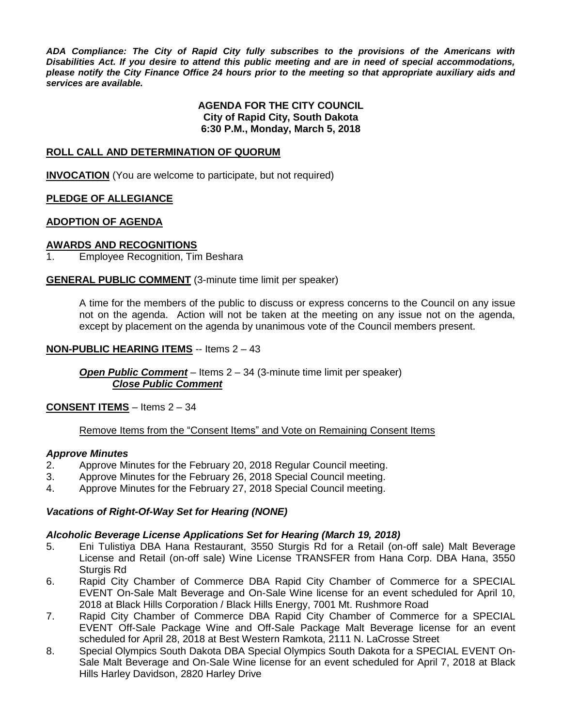*ADA Compliance: The City of Rapid City fully subscribes to the provisions of the Americans with Disabilities Act. If you desire to attend this public meeting and are in need of special accommodations, please notify the City Finance Office 24 hours prior to the meeting so that appropriate auxiliary aids and services are available.*

### **AGENDA FOR THE CITY COUNCIL City of Rapid City, South Dakota 6:30 P.M., Monday, March 5, 2018**

## **ROLL CALL AND DETERMINATION OF QUORUM**

**INVOCATION** (You are welcome to participate, but not required)

## **PLEDGE OF ALLEGIANCE**

#### **ADOPTION OF AGENDA**

## **AWARDS AND RECOGNITIONS**

1. Employee Recognition, Tim Beshara

## **GENERAL PUBLIC COMMENT** (3-minute time limit per speaker)

A time for the members of the public to discuss or express concerns to the Council on any issue not on the agenda. Action will not be taken at the meeting on any issue not on the agenda, except by placement on the agenda by unanimous vote of the Council members present.

#### **NON-PUBLIC HEARING ITEMS** -- Items 2 – 43

*Open Public Comment* – Items 2 – 34 (3-minute time limit per speaker) *Close Public Comment*

#### **CONSENT ITEMS** – Items 2 – 34

## Remove Items from the "Consent Items" and Vote on Remaining Consent Items

### *Approve Minutes*

- 2. Approve Minutes for the February 20, 2018 Regular Council meeting.
- 3. Approve Minutes for the February 26, 2018 Special Council meeting.
- 4. Approve Minutes for the February 27, 2018 Special Council meeting.

## *Vacations of Right-Of-Way Set for Hearing (NONE)*

#### *Alcoholic Beverage License Applications Set for Hearing (March 19, 2018)*

- 5. Eni Tulistiya DBA Hana Restaurant, 3550 Sturgis Rd for a Retail (on-off sale) Malt Beverage License and Retail (on-off sale) Wine License TRANSFER from Hana Corp. DBA Hana, 3550 Sturgis Rd
- 6. Rapid City Chamber of Commerce DBA Rapid City Chamber of Commerce for a SPECIAL EVENT On-Sale Malt Beverage and On-Sale Wine license for an event scheduled for April 10, 2018 at Black Hills Corporation / Black Hills Energy, 7001 Mt. Rushmore Road
- 7. Rapid City Chamber of Commerce DBA Rapid City Chamber of Commerce for a SPECIAL EVENT Off-Sale Package Wine and Off-Sale Package Malt Beverage license for an event scheduled for April 28, 2018 at Best Western Ramkota, 2111 N. LaCrosse Street
- 8. Special Olympics South Dakota DBA Special Olympics South Dakota for a SPECIAL EVENT On-Sale Malt Beverage and On-Sale Wine license for an event scheduled for April 7, 2018 at Black Hills Harley Davidson, 2820 Harley Drive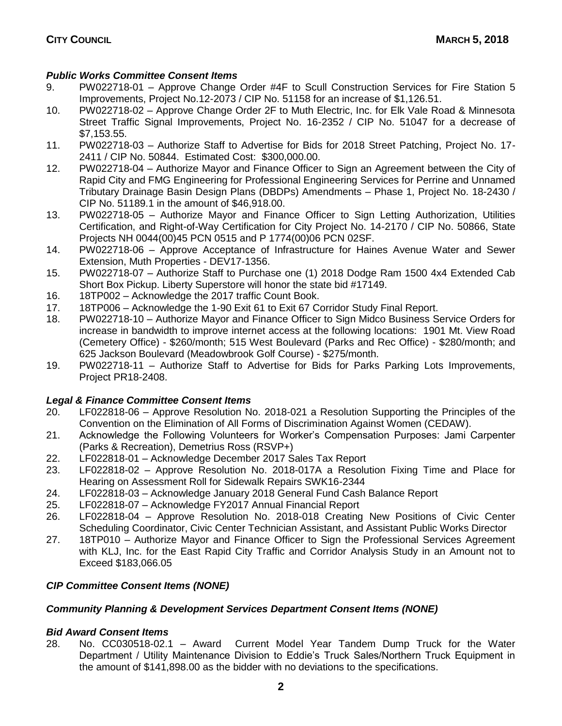# *Public Works Committee Consent Items*

- 9. PW022718-01 Approve Change Order #4F to Scull Construction Services for Fire Station 5 Improvements, Project No.12-2073 / CIP No. 51158 for an increase of \$1,126.51.
- 10. PW022718-02 Approve Change Order 2F to Muth Electric, Inc. for Elk Vale Road & Minnesota Street Traffic Signal Improvements, Project No. 16-2352 / CIP No. 51047 for a decrease of \$7,153.55.
- 11. PW022718-03 Authorize Staff to Advertise for Bids for 2018 Street Patching, Project No. 17- 2411 / CIP No. 50844. Estimated Cost: \$300,000.00.
- 12. PW022718-04 Authorize Mayor and Finance Officer to Sign an Agreement between the City of Rapid City and FMG Engineering for Professional Engineering Services for Perrine and Unnamed Tributary Drainage Basin Design Plans (DBDPs) Amendments – Phase 1, Project No. 18-2430 / CIP No. 51189.1 in the amount of \$46,918.00.
- 13. PW022718-05 Authorize Mayor and Finance Officer to Sign Letting Authorization, Utilities Certification, and Right-of-Way Certification for City Project No. 14-2170 / CIP No. 50866, State Projects NH 0044(00)45 PCN 0515 and P 1774(00)06 PCN 02SF.
- 14. PW022718-06 Approve Acceptance of Infrastructure for Haines Avenue Water and Sewer Extension, Muth Properties - DEV17-1356.
- 15. PW022718-07 Authorize Staff to Purchase one (1) 2018 Dodge Ram 1500 4x4 Extended Cab Short Box Pickup. Liberty Superstore will honor the state bid #17149.
- 16. 18TP002 Acknowledge the 2017 traffic Count Book.
- 17. 18TP006 Acknowledge the 1-90 Exit 61 to Exit 67 Corridor Study Final Report.
- 18. PW022718-10 Authorize Mayor and Finance Officer to Sign Midco Business Service Orders for increase in bandwidth to improve internet access at the following locations: 1901 Mt. View Road (Cemetery Office) - \$260/month; 515 West Boulevard (Parks and Rec Office) - \$280/month; and 625 Jackson Boulevard (Meadowbrook Golf Course) - \$275/month.
- 19. PW022718-11 Authorize Staff to Advertise for Bids for Parks Parking Lots Improvements, Project PR18-2408.

# *Legal & Finance Committee Consent Items*

- 20. LF022818-06 Approve Resolution No. 2018-021 a Resolution Supporting the Principles of the Convention on the Elimination of All Forms of Discrimination Against Women (CEDAW).
- 21. Acknowledge the Following Volunteers for Worker's Compensation Purposes: Jami Carpenter (Parks & Recreation), Demetrius Ross (RSVP+)
- 22. LF022818-01 Acknowledge December 2017 Sales Tax Report
- 23. LF022818-02 Approve Resolution No. 2018-017A a Resolution Fixing Time and Place for Hearing on Assessment Roll for Sidewalk Repairs SWK16-2344
- 24. LF022818-03 Acknowledge January 2018 General Fund Cash Balance Report
- 25. LF022818-07 Acknowledge FY2017 Annual Financial Report
- 26. LF022818-04 Approve Resolution No. 2018-018 Creating New Positions of Civic Center Scheduling Coordinator, Civic Center Technician Assistant, and Assistant Public Works Director
- 27. 18TP010 Authorize Mayor and Finance Officer to Sign the Professional Services Agreement with KLJ, Inc. for the East Rapid City Traffic and Corridor Analysis Study in an Amount not to Exceed \$183,066.05

# *CIP Committee Consent Items (NONE)*

# *Community Planning & Development Services Department Consent Items (NONE)*

# *Bid Award Consent Items*

28. No. CC030518-02.1 – Award Current Model Year Tandem Dump Truck for the Water Department / Utility Maintenance Division to Eddie's Truck Sales/Northern Truck Equipment in the amount of \$141,898.00 as the bidder with no deviations to the specifications.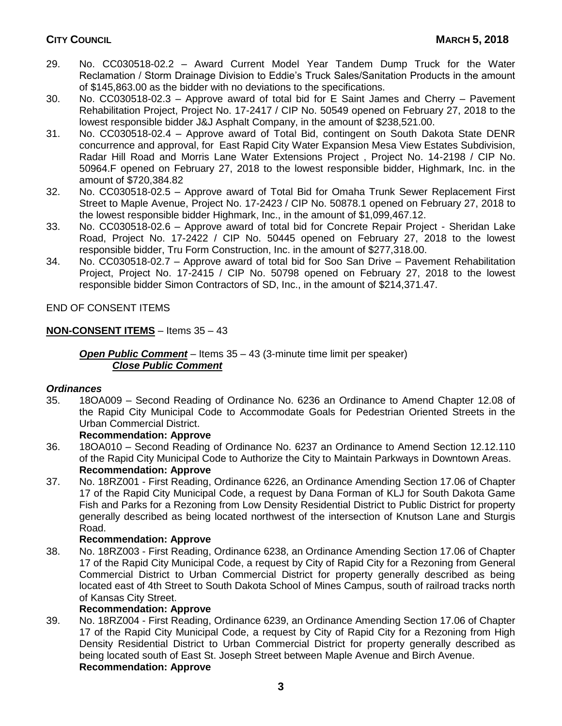- 29. No. CC030518-02.2 Award Current Model Year Tandem Dump Truck for the Water Reclamation / Storm Drainage Division to Eddie's Truck Sales/Sanitation Products in the amount of \$145,863.00 as the bidder with no deviations to the specifications.
- 30. No. CC030518-02.3 Approve award of total bid for E Saint James and Cherry Pavement Rehabilitation Project, Project No. 17-2417 / CIP No. 50549 opened on February 27, 2018 to the lowest responsible bidder J&J Asphalt Company, in the amount of \$238,521.00.
- 31. No. CC030518-02.4 Approve award of Total Bid, contingent on South Dakota State DENR concurrence and approval, for East Rapid City Water Expansion Mesa View Estates Subdivision, Radar Hill Road and Morris Lane Water Extensions Project , Project No. 14-2198 / CIP No. 50964.F opened on February 27, 2018 to the lowest responsible bidder, Highmark, Inc. in the amount of \$720,384.82
- 32. No. CC030518-02.5 Approve award of Total Bid for Omaha Trunk Sewer Replacement First Street to Maple Avenue, Project No. 17-2423 / CIP No. 50878.1 opened on February 27, 2018 to the lowest responsible bidder Highmark, Inc., in the amount of \$1,099,467.12.
- 33. No. CC030518-02.6 Approve award of total bid for Concrete Repair Project Sheridan Lake Road, Project No. 17-2422 / CIP No. 50445 opened on February 27, 2018 to the lowest responsible bidder, Tru Form Construction, Inc. in the amount of \$277,318.00.
- 34. No. CC030518-02.7 Approve award of total bid for Soo San Drive Pavement Rehabilitation Project, Project No. 17-2415 / CIP No. 50798 opened on February 27, 2018 to the lowest responsible bidder Simon Contractors of SD, Inc., in the amount of \$214,371.47.

END OF CONSENT ITEMS

# **NON-CONSENT ITEMS** – Items 35 – 43

# *Open Public Comment* – Items 35 – 43 (3-minute time limit per speaker) *Close Public Comment*

# *Ordinances*

35. 18OA009 – Second Reading of Ordinance No. 6236 an Ordinance to Amend Chapter 12.08 of the Rapid City Municipal Code to Accommodate Goals for Pedestrian Oriented Streets in the Urban Commercial District.

# **Recommendation: Approve**

- 36. 18OA010 Second Reading of Ordinance No. 6237 an Ordinance to Amend Section 12.12.110 of the Rapid City Municipal Code to Authorize the City to Maintain Parkways in Downtown Areas. **Recommendation: Approve**
- 37. No. 18RZ001 First Reading, Ordinance 6226, an Ordinance Amending Section 17.06 of Chapter 17 of the Rapid City Municipal Code, a request by Dana Forman of KLJ for South Dakota Game Fish and Parks for a Rezoning from Low Density Residential District to Public District for property generally described as being located northwest of the intersection of Knutson Lane and Sturgis Road.

# **Recommendation: Approve**

38. No. 18RZ003 - First Reading, Ordinance 6238, an Ordinance Amending Section 17.06 of Chapter 17 of the Rapid City Municipal Code, a request by City of Rapid City for a Rezoning from General Commercial District to Urban Commercial District for property generally described as being located east of 4th Street to South Dakota School of Mines Campus, south of railroad tracks north of Kansas City Street.

# **Recommendation: Approve**

39. No. 18RZ004 - First Reading, Ordinance 6239, an Ordinance Amending Section 17.06 of Chapter 17 of the Rapid City Municipal Code, a request by City of Rapid City for a Rezoning from High Density Residential District to Urban Commercial District for property generally described as being located south of East St. Joseph Street between Maple Avenue and Birch Avenue. **Recommendation: Approve**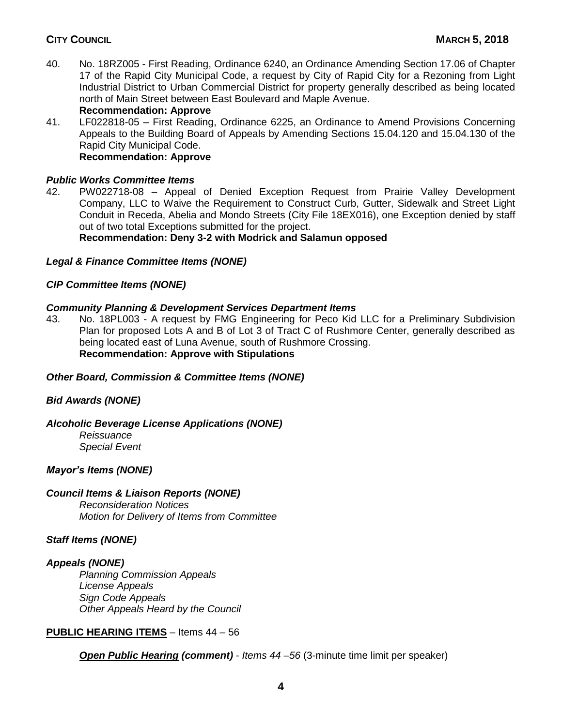40. No. 18RZ005 - First Reading, Ordinance 6240, an Ordinance Amending Section 17.06 of Chapter 17 of the Rapid City Municipal Code, a request by City of Rapid City for a Rezoning from Light Industrial District to Urban Commercial District for property generally described as being located north of Main Street between East Boulevard and Maple Avenue.

**Recommendation: Approve** 41. LF022818-05 – First Reading, Ordinance 6225, an Ordinance to Amend Provisions Concerning Appeals to the Building Board of Appeals by Amending Sections 15.04.120 and 15.04.130 of the Rapid City Municipal Code. **Recommendation: Approve**

# *Public Works Committee Items*

42. PW022718-08 – Appeal of Denied Exception Request from Prairie Valley Development Company, LLC to Waive the Requirement to Construct Curb, Gutter, Sidewalk and Street Light Conduit in Receda, Abelia and Mondo Streets (City File 18EX016), one Exception denied by staff out of two total Exceptions submitted for the project.

**Recommendation: Deny 3-2 with Modrick and Salamun opposed**

## *Legal & Finance Committee Items (NONE)*

## *CIP Committee Items (NONE)*

## *Community Planning & Development Services Department Items*

43. No. 18PL003 - A request by FMG Engineering for Peco Kid LLC for a Preliminary Subdivision Plan for proposed Lots A and B of Lot 3 of Tract C of Rushmore Center, generally described as being located east of Luna Avenue, south of Rushmore Crossing. **Recommendation: Approve with Stipulations**

#### *Other Board, Commission & Committee Items (NONE)*

#### *Bid Awards (NONE)*

#### *Alcoholic Beverage License Applications (NONE)*

*Reissuance Special Event*

#### *Mayor's Items (NONE)*

#### *Council Items & Liaison Reports (NONE)*

*Reconsideration Notices Motion for Delivery of Items from Committee*

## *Staff Items (NONE)*

## *Appeals (NONE)*

*Planning Commission Appeals License Appeals Sign Code Appeals Other Appeals Heard by the Council*

## **PUBLIC HEARING ITEMS** – Items 44 – 56

*Open Public Hearing (comment)* - *Items 44 –56* (3-minute time limit per speaker)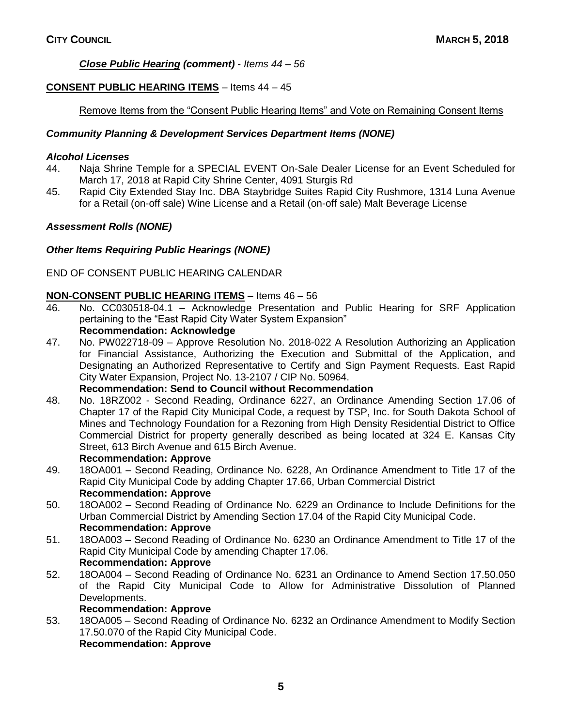# *Close Public Hearing (comment)* - *Items 44 – 56*

# **CONSENT PUBLIC HEARING ITEMS** – Items 44 – 45

# Remove Items from the "Consent Public Hearing Items" and Vote on Remaining Consent Items

# *Community Planning & Development Services Department Items (NONE)*

## *Alcohol Licenses*

- 44. Naja Shrine Temple for a SPECIAL EVENT On-Sale Dealer License for an Event Scheduled for March 17, 2018 at Rapid City Shrine Center, 4091 Sturgis Rd
- 45. Rapid City Extended Stay Inc. DBA Staybridge Suites Rapid City Rushmore, 1314 Luna Avenue for a Retail (on-off sale) Wine License and a Retail (on-off sale) Malt Beverage License

# *Assessment Rolls (NONE)*

# *Other Items Requiring Public Hearings (NONE)*

# END OF CONSENT PUBLIC HEARING CALENDAR

# **NON-CONSENT PUBLIC HEARING ITEMS** – Items 46 – 56

- 46. No. CC030518-04.1 Acknowledge Presentation and Public Hearing for SRF Application pertaining to the "East Rapid City Water System Expansion" **Recommendation: Acknowledge**
- 47. No. PW022718-09 Approve Resolution No. 2018-022 A Resolution Authorizing an Application for Financial Assistance, Authorizing the Execution and Submittal of the Application, and Designating an Authorized Representative to Certify and Sign Payment Requests. East Rapid City Water Expansion, Project No. 13-2107 / CIP No. 50964.

## **Recommendation: Send to Council without Recommendation**

48. No. 18RZ002 - Second Reading, Ordinance 6227, an Ordinance Amending Section 17.06 of Chapter 17 of the Rapid City Municipal Code, a request by TSP, Inc. for South Dakota School of Mines and Technology Foundation for a Rezoning from High Density Residential District to Office Commercial District for property generally described as being located at 324 E. Kansas City Street, 613 Birch Avenue and 615 Birch Avenue.

## **Recommendation: Approve**

- 49. 18OA001 Second Reading, Ordinance No. 6228, An Ordinance Amendment to Title 17 of the Rapid City Municipal Code by adding Chapter 17.66, Urban Commercial District **Recommendation: Approve**
- 50. 18OA002 Second Reading of Ordinance No. 6229 an Ordinance to Include Definitions for the Urban Commercial District by Amending Section 17.04 of the Rapid City Municipal Code. **Recommendation: Approve**
- 51. 18OA003 Second Reading of Ordinance No. 6230 an Ordinance Amendment to Title 17 of the Rapid City Municipal Code by amending Chapter 17.06. **Recommendation: Approve**
- 52. 18OA004 Second Reading of Ordinance No. 6231 an Ordinance to Amend Section 17.50.050 of the Rapid City Municipal Code to Allow for Administrative Dissolution of Planned Developments.

## **Recommendation: Approve**

53. 18OA005 – Second Reading of Ordinance No. 6232 an Ordinance Amendment to Modify Section 17.50.070 of the Rapid City Municipal Code. **Recommendation: Approve**